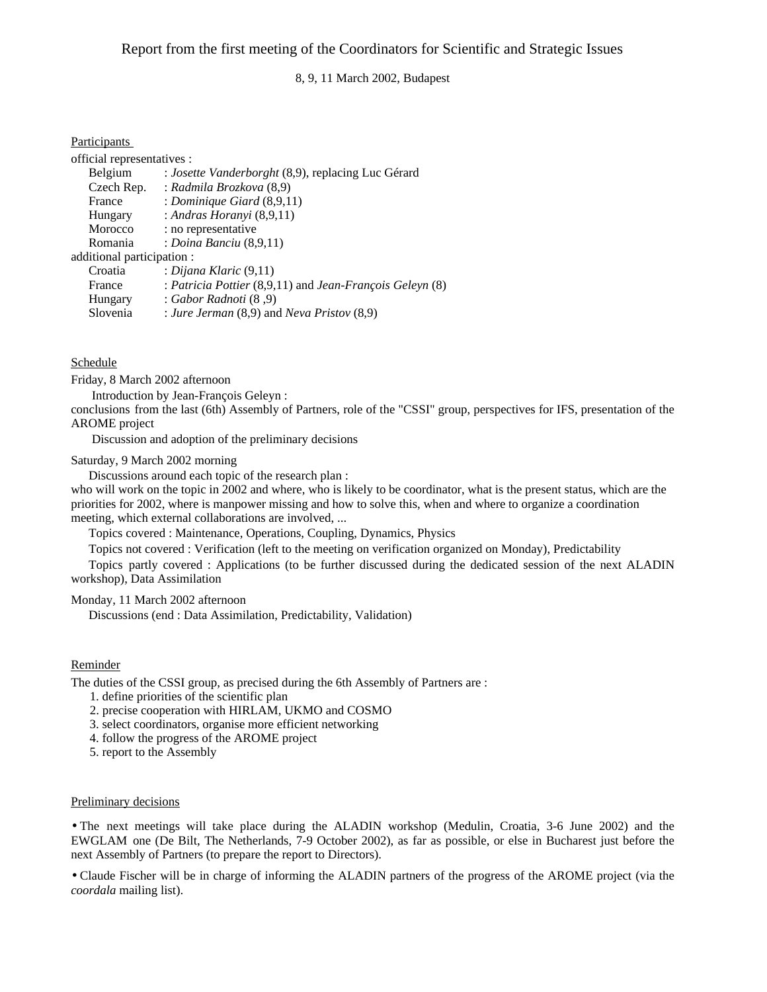8, 9, 11 March 2002, Budapest

# Participants

| official representatives : |                                                          |
|----------------------------|----------------------------------------------------------|
| Belgium                    | : Josette Vanderborght (8,9), replacing Luc Gérard       |
| Czech Rep.                 | : Radmila Brozkova (8,9)                                 |
| France                     | : Dominique Giard $(8,9,11)$                             |
| Hungary                    | : Andras Horanyi $(8,9,11)$                              |
| Morocco                    | : no representative                                      |
| Romania                    | : Doina Banciu $(8,9,11)$                                |
| additional participation : |                                                          |
| Croatia                    | : Dijana Klaric $(9,11)$                                 |
| France                     | : Patricia Pottier (8,9,11) and Jean-François Geleyn (8) |
| Hungary                    | : Gabor Radnoti (8,9)                                    |
| Slovenia                   | : Jure Jerman $(8,9)$ and Neva Pristov $(8,9)$           |

## Schedule

Friday, 8 March 2002 afternoon

Introduction by Jean-François Geleyn :

conclusions from the last (6th) Assembly of Partners, role of the "CSSI" group, perspectives for IFS, presentation of the AROME project

Discussion and adoption of the preliminary decisions

## Saturday, 9 March 2002 morning

Discussions around each topic of the research plan :

who will work on the topic in 2002 and where, who is likely to be coordinator, what is the present status, which are the priorities for 2002, where is manpower missing and how to solve this, when and where to organize a coordination meeting, which external collaborations are involved, ...

Topics covered : Maintenance, Operations, Coupling, Dynamics, Physics

Topics not covered : Verification (left to the meeting on verification organized on Monday), Predictability

Topics partly covered : Applications (to be further discussed during the dedicated session of the next ALADIN workshop), Data Assimilation

## Monday, 11 March 2002 afternoon

Discussions (end : Data Assimilation, Predictability, Validation)

# Reminder

The duties of the CSSI group, as precised during the 6th Assembly of Partners are :

- 1. define priorities of the scientific plan
- 2. precise cooperation with HIRLAM, UKMO and COSMO
- 3. select coordinators, organise more efficient networking
- 4. follow the progress of the AROME project
- 5. report to the Assembly

#### Preliminary decisions

• The next meetings will take place during the ALADIN workshop (Medulin, Croatia, 3-6 June 2002) and the EWGLAM one (De Bilt, The Netherlands, 7-9 October 2002), as far as possible, or else in Bucharest just before the next Assembly of Partners (to prepare the report to Directors).

• Claude Fischer will be in charge of informing the ALADIN partners of the progress of the AROME project (via the *coordala* mailing list).